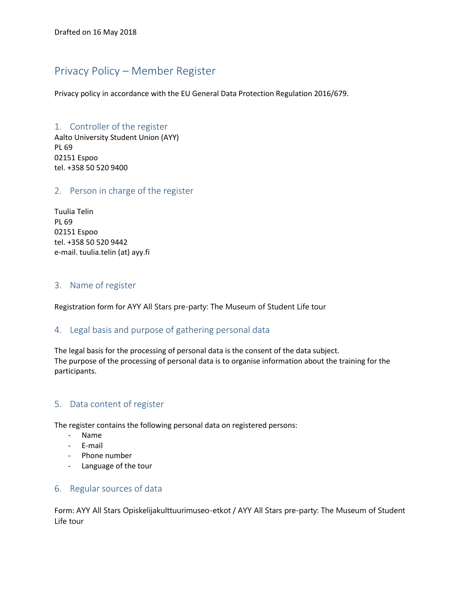# Privacy Policy – Member Register

Privacy policy in accordance with the EU General Data Protection Regulation 2016/679.

# 1. Controller of the register

Aalto University Student Union (AYY) PL 69 02151 Espoo tel. +358 50 520 9400

#### 2. Person in charge of the register

Tuulia Telin PL 69 02151 Espoo tel. +358 50 520 9442 e-mail. tuulia.telin (at) ayy.fi

#### 3. Name of register

Registration form for AYY All Stars pre-party: The Museum of Student Life tour

#### 4. Legal basis and purpose of gathering personal data

The legal basis for the processing of personal data is the consent of the data subject. The purpose of the processing of personal data is to organise information about the training for the participants.

# 5. Data content of register

The register contains the following personal data on registered persons:

- Name
- E-mail
- Phone number
- Language of the tour

#### 6. Regular sources of data

Form: AYY All Stars Opiskelijakulttuurimuseo-etkot / AYY All Stars pre-party: The Museum of Student Life tour